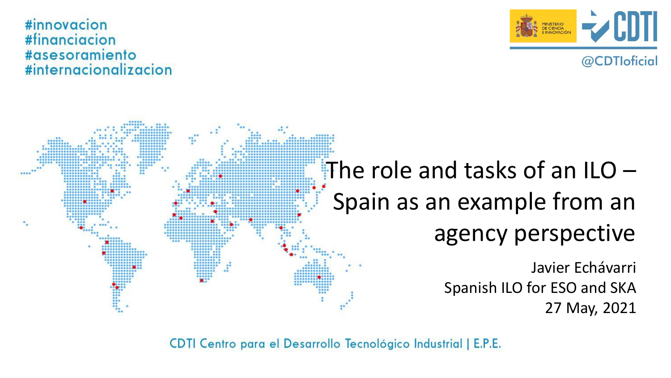

@CDTloficial

#### #innovacion #financiacion #asesoramiento #internacionalizacion

# Javier Echávarri Spanish ILO for ESO and SKA 27 May, 2021 The role and tasks of an  $ILO -$ Spain as an example from an agency perspective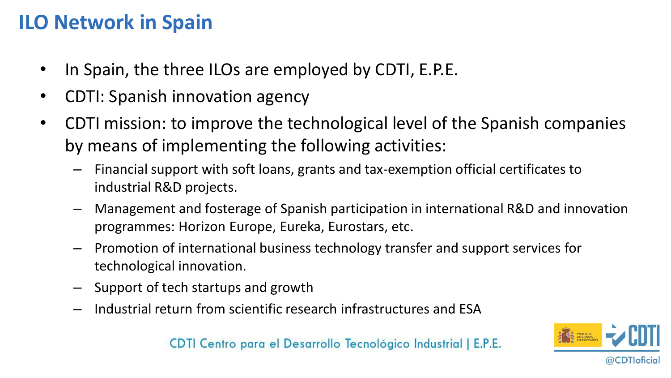## **ILO Network in Spain**

- In Spain, the three ILOs are employed by CDTI, E.P.E.
- CDTI: Spanish innovation agency
- CDTI mission: to improve the technological level of the Spanish companies by means of implementing the following activities:
	- Financial support with soft loans, grants and tax-exemption official certificates to industrial R&D projects.
	- Management and fosterage of Spanish participation in international R&D and innovation programmes: Horizon Europe, Eureka, Eurostars, etc.
	- Promotion of international business technology transfer and support services for technological innovation.
	- Support of tech startups and growth
	- Industrial return from scientific research infrastructures and ESA

@CDTloticial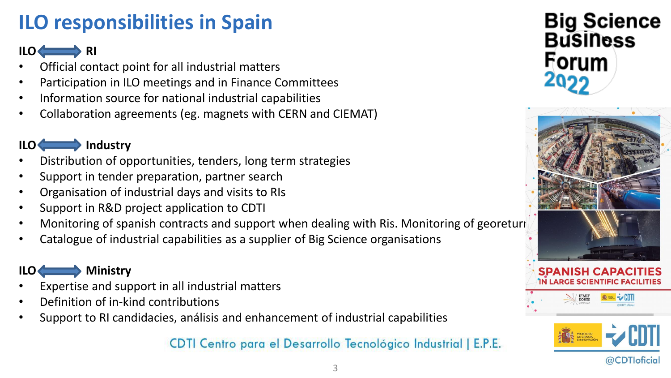# **ILO responsibilities in Spain**

### **ILO RI**

- Official contact point for all industrial matters
- Participation in ILO meetings and in Finance Committees
- Information source for national industrial capabilities
- Collaboration agreements (eg. magnets with CERN and CIEMAT)

## **ILO Industry**

- Distribution of opportunities, tenders, long term strategies
- Support in tender preparation, partner search
- Organisation of industrial days and visits to RIs
- Support in R&D project application to CDTI
- Monitoring of spanish contracts and support when dealing with Ris. Monitoring of georeturi
- Catalogue of industrial capabilities as a supplier of Big Science organisations

## **ILO Ministry**

- Expertise and support in all industrial matters
- Definition of in-kind contributions
- Support to RI candidacies, análisis and enhancement of industrial capabilities







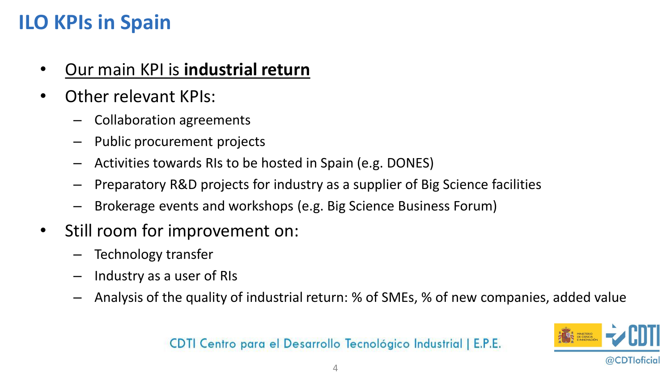## **ILO KPIs in Spain**

- Our main KPI is **industrial return**
- Other relevant KPIs:
	- Collaboration agreements
	- Public procurement projects
	- Activities towards RIs to be hosted in Spain (e.g. DONES)
	- Preparatory R&D projects for industry as a supplier of Big Science facilities
	- Brokerage events and workshops (e.g. Big Science Business Forum)
- Still room for improvement on:
	- Technology transfer
	- Industry as a user of RIs
	- Analysis of the quality of industrial return: % of SMEs, % of new companies, added value

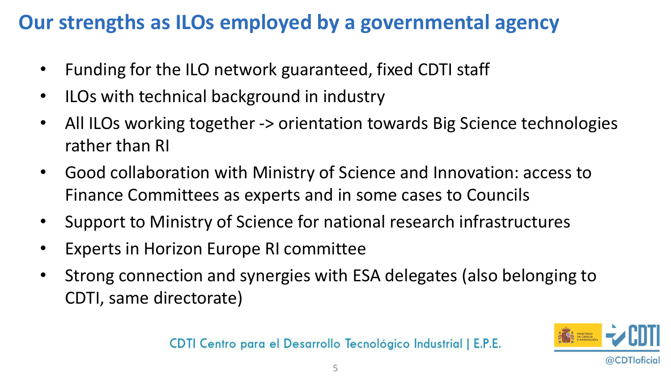## **Our strengths as ILOs employed by a governmental agency**

- Funding for the ILO network guaranteed, fixed CDTI staff
- ILOs with technical background in industry
- All ILOs working together -> orientation towards Big Science technologies rather than RI
- Good collaboration with Ministry of Science and Innovation: access to Finance Committees as experts and in some cases to Councils
- Support to Ministry of Science for national research infrastructures
- Experts in Horizon Europe RI committee
- Strong connection and synergies with ESA delegates (also belonging to CDTI, same directorate)

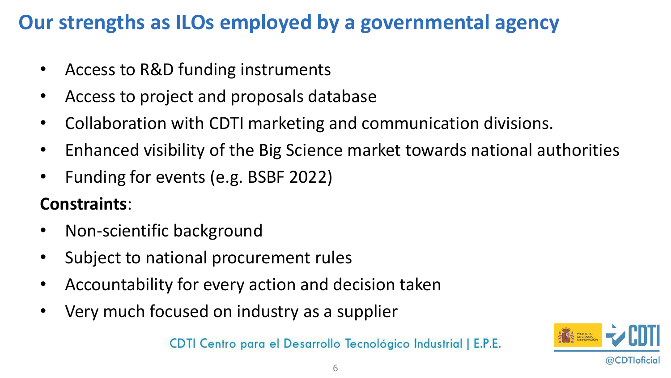## **Our strengths as ILOs employed by a governmental agency**

- Access to R&D funding instruments
- Access to project and proposals database
- Collaboration with CDTI marketing and communication divisions.
- Enhanced visibility of the Big Science market towards national authorities
- Funding for events (e.g. BSBF 2022)

## **Constraints**:

- Non-scientific background
- Subject to national procurement rules
- Accountability for every action and decision taken
- Very much focused on industry as a supplier

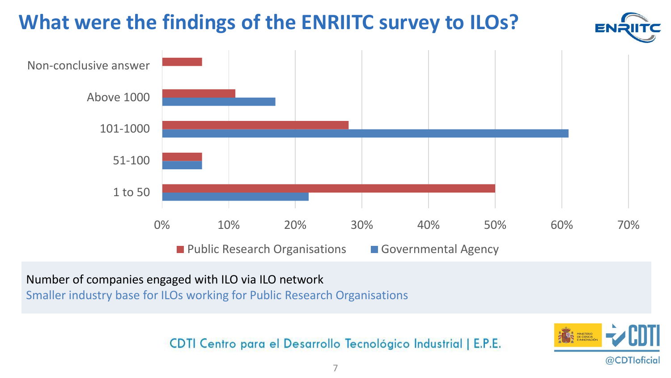

Number of companies engaged with ILO via ILO network

Smaller industry base for ILOs working for Public Research Organisations

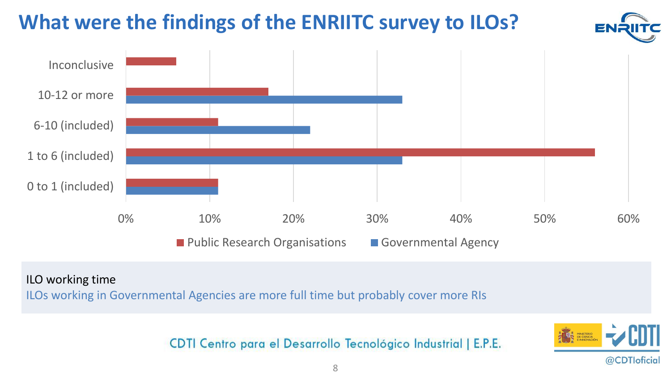

#### ILO working time

ILOs working in Governmental Agencies are more full time but probably cover more RIs

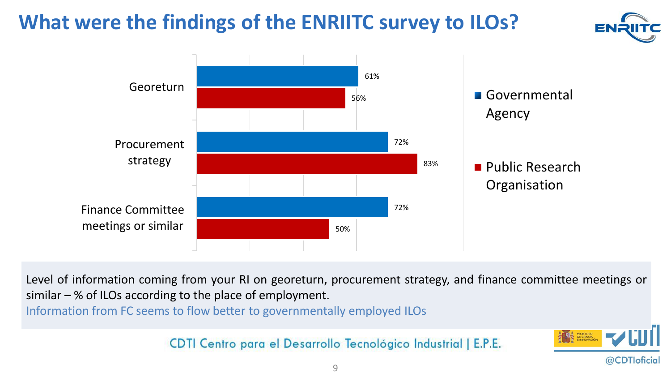



Level of information coming from your RI on georeturn, procurement strategy, and finance committee meetings or similar – % of ILOs according to the place of employment.

Information from FC seems to flow better to governmentally employed ILOs

CDTI Centro para el Desarrollo Tecnológico Industrial | E.P.E.



@CDTIoficial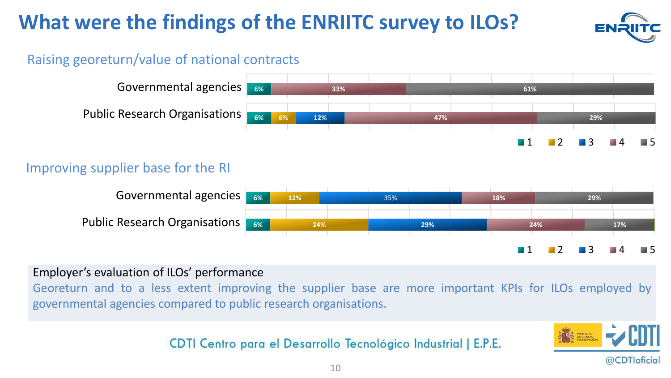

## **Raising georeturn/value of national contracts**



#### Promoting Technology-transfer activities Improving supplier base for the RI



### Employer's evaluation of ILOs' performance

Georeturn and to a less extent improving the supplier base are more important KPIs for ILOs employed by governmental agencies compared to public research organisations. **Expressing the cupplier base are more important**  $|I_{\text{D}}|$  **for U.Qs employed by** 

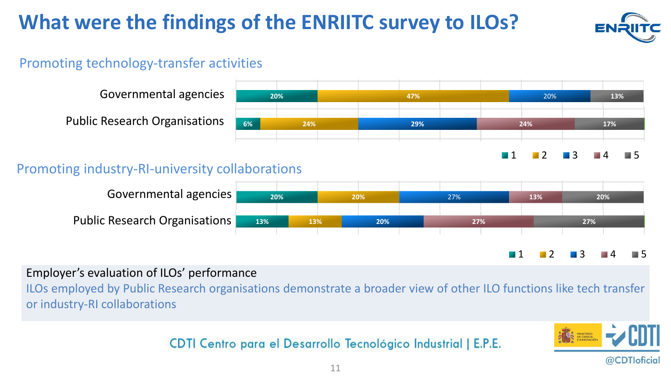

## Promoting technology-transfer activities



1 5 **15% 23% 17% 13% 20%**

**29%**

## Promoting industry-RI-university collaborations



Employer's evaluation of ILOs' performance

ILOs employed by Public Research organisations demonstrate a broader view of other ILO functions like tech transfer or industry-RI collaborations

#### Centro para el Desarrollo Tecnológico Industrial

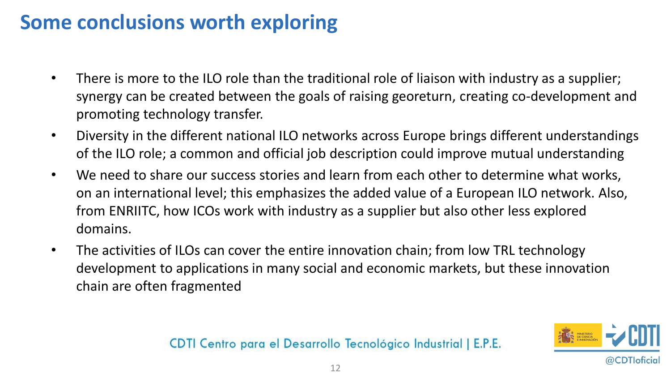## **Some conclusions worth exploring**

- There is more to the ILO role than the traditional role of liaison with industry as a supplier; synergy can be created between the goals of raising georeturn, creating co-development and promoting technology transfer.
- Diversity in the different national ILO networks across Europe brings different understandings of the ILO role; a common and official job description could improve mutual understanding
- We need to share our success stories and learn from each other to determine what works, on an international level; this emphasizes the added value of a European ILO network. Also, from ENRIITC, how ICOs work with industry as a supplier but also other less explored domains.
- The activities of ILOs can cover the entire innovation chain; from low TRL technology development to applications in many social and economic markets, but these innovation chain are often fragmented